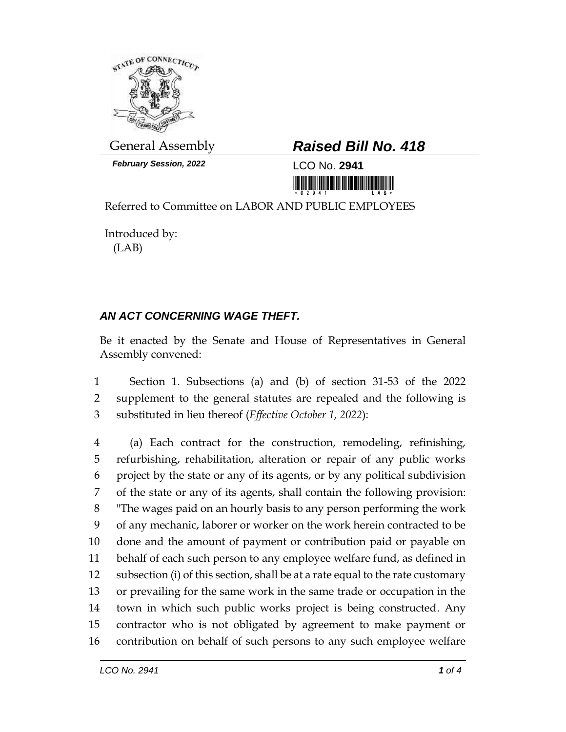

*February Session, 2022* LCO No. **2941**

## General Assembly *Raised Bill No. 418*

<u> Introduction and International International International International International International International International International International International International International International Interna</u>

Referred to Committee on LABOR AND PUBLIC EMPLOYEES

Introduced by: (LAB)

## *AN ACT CONCERNING WAGE THEFT.*

Be it enacted by the Senate and House of Representatives in General Assembly convened:

 Section 1. Subsections (a) and (b) of section 31-53 of the 2022 supplement to the general statutes are repealed and the following is substituted in lieu thereof (*Effective October 1, 2022*):

 (a) Each contract for the construction, remodeling, refinishing, refurbishing, rehabilitation, alteration or repair of any public works project by the state or any of its agents, or by any political subdivision of the state or any of its agents, shall contain the following provision: "The wages paid on an hourly basis to any person performing the work of any mechanic, laborer or worker on the work herein contracted to be done and the amount of payment or contribution paid or payable on behalf of each such person to any employee welfare fund, as defined in subsection (i) of this section, shall be at a rate equal to the rate customary or prevailing for the same work in the same trade or occupation in the town in which such public works project is being constructed. Any contractor who is not obligated by agreement to make payment or contribution on behalf of such persons to any such employee welfare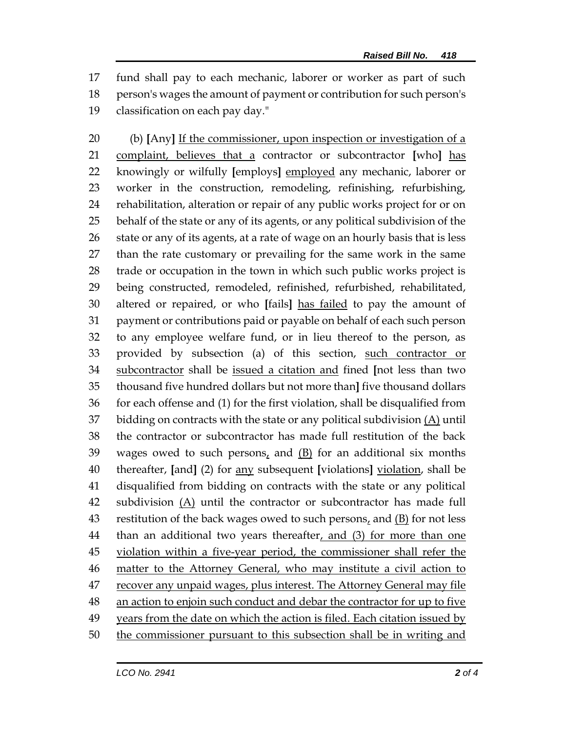fund shall pay to each mechanic, laborer or worker as part of such person's wages the amount of payment or contribution for such person's classification on each pay day."

 (b) **[**Any**]** If the commissioner, upon inspection or investigation of a complaint, believes that a contractor or subcontractor **[**who**]** has knowingly or wilfully **[**employs**]** employed any mechanic, laborer or worker in the construction, remodeling, refinishing, refurbishing, rehabilitation, alteration or repair of any public works project for or on behalf of the state or any of its agents, or any political subdivision of the 26 state or any of its agents, at a rate of wage on an hourly basis that is less than the rate customary or prevailing for the same work in the same trade or occupation in the town in which such public works project is being constructed, remodeled, refinished, refurbished, rehabilitated, altered or repaired, or who **[**fails**]** has failed to pay the amount of payment or contributions paid or payable on behalf of each such person to any employee welfare fund, or in lieu thereof to the person, as provided by subsection (a) of this section, such contractor or subcontractor shall be issued a citation and fined **[**not less than two thousand five hundred dollars but not more than**]** five thousand dollars for each offense and (1) for the first violation, shall be disqualified from 37 bidding on contracts with the state or any political subdivision  $(\underline{A})$  until the contractor or subcontractor has made full restitution of the back wages owed to such persons, and (B) for an additional six months thereafter, **[**and**]** (2) for any subsequent **[**violations**]** violation, shall be disqualified from bidding on contracts with the state or any political 42 subdivision  $(A)$  until the contractor or subcontractor has made full restitution of the back wages owed to such persons, and (B) for not less 44 than an additional two years thereafter, and (3) for more than one violation within a five-year period, the commissioner shall refer the matter to the Attorney General, who may institute a civil action to recover any unpaid wages, plus interest. The Attorney General may file an action to enjoin such conduct and debar the contractor for up to five 49 years from the date on which the action is filed. Each citation issued by 50 the commissioner pursuant to this subsection shall be in writing and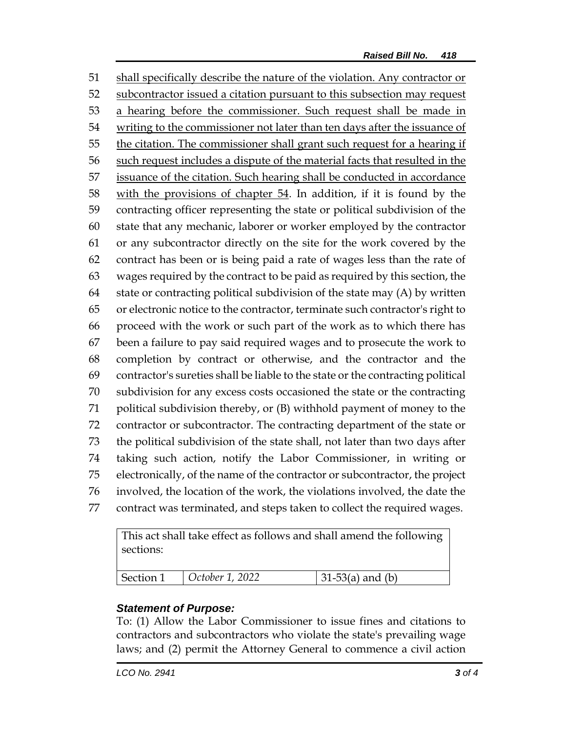shall specifically describe the nature of the violation. Any contractor or subcontractor issued a citation pursuant to this subsection may request 53 a hearing before the commissioner. Such request shall be made in writing to the commissioner not later than ten days after the issuance of the citation. The commissioner shall grant such request for a hearing if such request includes a dispute of the material facts that resulted in the 57 issuance of the citation. Such hearing shall be conducted in accordance with the provisions of chapter 54. In addition, if it is found by the contracting officer representing the state or political subdivision of the state that any mechanic, laborer or worker employed by the contractor or any subcontractor directly on the site for the work covered by the contract has been or is being paid a rate of wages less than the rate of wages required by the contract to be paid as required by this section, the state or contracting political subdivision of the state may (A) by written or electronic notice to the contractor, terminate such contractor's right to proceed with the work or such part of the work as to which there has been a failure to pay said required wages and to prosecute the work to completion by contract or otherwise, and the contractor and the contractor's sureties shall be liable to the state or the contracting political subdivision for any excess costs occasioned the state or the contracting political subdivision thereby, or (B) withhold payment of money to the contractor or subcontractor. The contracting department of the state or the political subdivision of the state shall, not later than two days after taking such action, notify the Labor Commissioner, in writing or electronically, of the name of the contractor or subcontractor, the project involved, the location of the work, the violations involved, the date the contract was terminated, and steps taken to collect the required wages.

This act shall take effect as follows and shall amend the following sections:

| Section 1 | $\vert$ October 1, 2022 | $31-53(a)$ and (b) |
|-----------|-------------------------|--------------------|
|           |                         |                    |

## *Statement of Purpose:*

To: (1) Allow the Labor Commissioner to issue fines and citations to contractors and subcontractors who violate the state's prevailing wage laws; and (2) permit the Attorney General to commence a civil action